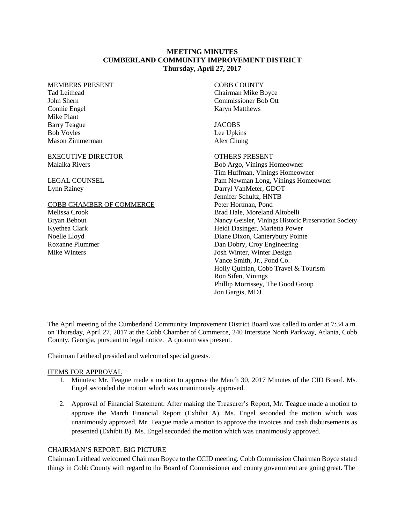## **MEETING MINUTES CUMBERLAND COMMUNITY IMPROVEMENT DISTRICT Thursday, April 27, 2017**

#### MEMBERS PRESENT

Tad Leithead John Shern Connie Engel Mike Plant Barry Teague Bob Voyles Mason Zimmerman

#### EXECUTIVE DIRECTOR Malaika Rivers

LEGAL COUNSEL Lynn Rainey

### COBB CHAMBER OF COMMERCE

Melissa Crook Bryan Bebout Kyethea Clark Noelle Lloyd Roxanne Plummer Mike Winters

# COBB COUNTY

Chairman Mike Boyce Commissioner Bob Ott Karyn Matthews

#### JACOBS

Lee Upkins Alex Chung

### OTHERS PRESENT

Bob Argo, Vinings Homeowner Tim Huffman, Vinings Homeowner Pam Newman Long, Vinings Homeowner Darryl VanMeter, GDOT Jennifer Schultz, HNTB Peter Hortman, Pond Brad Hale, Moreland Altobelli Nancy Geisler, Vinings Historic Preservation Society Heidi Dasinger, Marietta Power Diane Dixon, Canterybury Pointe Dan Dobry, Croy Engineering Josh Winter, Winter Design Vance Smith, Jr., Pond Co. Holly Quinlan, Cobb Travel & Tourism Ron Sifen, Vinings Phillip Morrissey, The Good Group Jon Gargis, MDJ

The April meeting of the Cumberland Community Improvement District Board was called to order at 7:34 a.m. on Thursday, April 27, 2017 at the Cobb Chamber of Commerce, 240 Interstate North Parkway, Atlanta, Cobb County, Georgia, pursuant to legal notice. A quorum was present.

Chairman Leithead presided and welcomed special guests.

#### ITEMS FOR APPROVAL

- 1. Minutes: Mr. Teague made a motion to approve the March 30, 2017 Minutes of the CID Board. Ms. Engel seconded the motion which was unanimously approved.
- 2. Approval of Financial Statement: After making the Treasurer's Report, Mr. Teague made a motion to approve the March Financial Report (Exhibit A). Ms. Engel seconded the motion which was unanimously approved. Mr. Teague made a motion to approve the invoices and cash disbursements as presented (Exhibit B). Ms. Engel seconded the motion which was unanimously approved.

## CHAIRMAN'S REPORT: BIG PICTURE

Chairman Leithead welcomed Chairman Boyce to the CCID meeting. Cobb Commission Chairman Boyce stated things in Cobb County with regard to the Board of Commissioner and county government are going great. The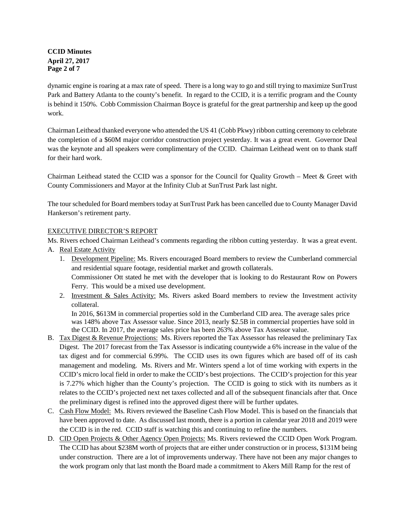# **CCID Minutes April 27, 2017 Page 2 of 7**

dynamic engine is roaring at a max rate of speed. There is a long way to go and still trying to maximize SunTrust Park and Battery Atlanta to the county's benefit. In regard to the CCID, it is a terrific program and the County is behind it 150%. Cobb Commission Chairman Boyce is grateful for the great partnership and keep up the good work.

Chairman Leithead thanked everyone who attended the US 41 (Cobb Pkwy) ribbon cutting ceremony to celebrate the completion of a \$60M major corridor construction project yesterday. It was a great event. Governor Deal was the keynote and all speakers were complimentary of the CCID. Chairman Leithead went on to thank staff for their hard work.

Chairman Leithead stated the CCID was a sponsor for the Council for Quality Growth – Meet & Greet with County Commissioners and Mayor at the Infinity Club at SunTrust Park last night.

The tour scheduled for Board members today at SunTrust Park has been cancelled due to County Manager David Hankerson's retirement party.

## EXECUTIVE DIRECTOR'S REPORT

Ms. Rivers echoed Chairman Leithead's comments regarding the ribbon cutting yesterday. It was a great event. A. Real Estate Activity

- 1. Development Pipeline: Ms. Rivers encouraged Board members to review the Cumberland commercial and residential square footage, residential market and growth collaterals. Commissioner Ott stated he met with the developer that is looking to do Restaurant Row on Powers Ferry. This would be a mixed use development.
- 2. Investment & Sales Activity: Ms. Rivers asked Board members to review the Investment activity collateral.

In 2016, \$613M in commercial properties sold in the Cumberland CID area. The average sales price was 148% above Tax Assessor value. Since 2013, nearly \$2.5B in commercial properties have sold in the CCID. In 2017, the average sales price has been 263% above Tax Assessor value.

- B. Tax Digest & Revenue Projections: Ms. Rivers reported the Tax Assessor has released the preliminary Tax Digest. The 2017 forecast from the Tax Assessor is indicating countywide a 6% increase in the value of the tax digest and for commercial 6.99%. The CCID uses its own figures which are based off of its cash management and modeling. Ms. Rivers and Mr. Winters spend a lot of time working with experts in the CCID's micro local field in order to make the CCID's best projections. The CCID's projection for this year is 7.27% which higher than the County's projection. The CCID is going to stick with its numbers as it relates to the CCID's projected next net taxes collected and all of the subsequent financials after that. Once the preliminary digest is refined into the approved digest there will be further updates.
- C. Cash Flow Model: Ms. Rivers reviewed the Baseline Cash Flow Model. This is based on the financials that have been approved to date. As discussed last month, there is a portion in calendar year 2018 and 2019 were the CCID is in the red. CCID staff is watching this and continuing to refine the numbers.
- D. CID Open Projects & Other Agency Open Projects: Ms. Rivers reviewed the CCID Open Work Program. The CCID has about \$238M worth of projects that are either under construction or in process, \$131M being under construction. There are a lot of improvements underway. There have not been any major changes to the work program only that last month the Board made a commitment to Akers Mill Ramp for the rest of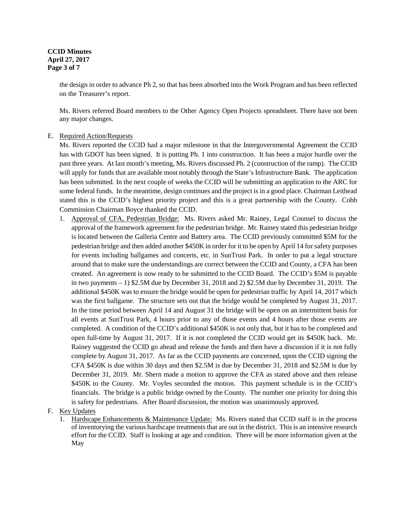### **CCID Minutes April 27, 2017 Page 3 of 7**

the design in order to advance Ph 2, so that has been absorbed into the Work Program and has been reflected on the Treasurer's report.

Ms. Rivers referred Board members to the Other Agency Open Projects spreadsheet. There have not been any major changes.

## E. Required Action/Requests

Ms. Rivers reported the CCID had a major milestone in that the Intergovernmental Agreement the CCID has with GDOT has been signed. It is putting Ph. 1 into construction. It has been a major hurdle over the past three years. At last month's meeting, Ms. Rivers discussed Ph. 2 (construction of the ramp). The CCID will apply for funds that are available most notably through the State's Infrastructure Bank. The application has been submitted. In the next couple of weeks the CCID will be submitting an application to the ARC for some federal funds. In the meantime, design continues and the project is in a good place. Chairman Leithead stated this is the CCID's highest priority project and this is a great partnership with the County. Cobb Commission Chairman Boyce thanked the CCID.

- 1. Approval of CFA, Pedestrian Bridge: Ms. Rivers asked Mr. Rainey, Legal Counsel to discuss the approval of the framework agreement for the pedestrian bridge. Mr. Rainey stated this pedestrian bridge is located between the Galleria Centre and Battery area. The CCID previously committed \$5M for the pedestrian bridge and then added another \$450K in order for it to be open by April 14 for safety purposes for events including ballgames and concerts, etc. in SunTrust Park. In order to put a legal structure around that to make sure the understandings are correct between the CCID and County, a CFA has been created. An agreement is now ready to be submitted to the CCID Board. The CCID's \$5M is payable in two payments – 1) \$2.5M due by December 31, 2018 and 2) \$2.5M due by December 31, 2019. The additional \$450K was to ensure the bridge would be open for pedestrian traffic by April 14, 2017 which was the first ballgame. The structure sets out that the bridge would be completed by August 31, 2017. In the time period between April 14 and August 31 the bridge will be open on an intermittent basis for all events at SunTrust Park, 4 hours prior to any of those events and 4 hours after those events are completed. A condition of the CCID's additional \$450K is not only that, but it has to be completed and open full-time by August 31, 2017. If it is not completed the CCID would get its \$450K back. Mr. Rainey suggested the CCID go ahead and release the funds and then have a discussion if it is not fully complete by August 31, 2017. As far as the CCID payments are concerned, upon the CCID signing the CFA \$450K is due within 30 days and then \$2.5M is due by December 31, 2018 and \$2.5M is due by December 31, 2019. Mr. Shern made a motion to approve the CFA as stated above and then release \$450K to the County. Mr. Voyles seconded the motion. This payment schedule is in the CCID's financials. The bridge is a public bridge owned by the County. The number one priority for doing this is safety for pedestrians. After Board discussion, the motion was unanimously approved.
- F. Key Updates
	- 1. Hardscape Enhancements & Maintenance Update: Ms. Rivers stated that CCID staff is in the process of inventorying the various hardscape treatments that are out in the district. This is an intensive research effort for the CCID. Staff is looking at age and condition. There will be more information given at the May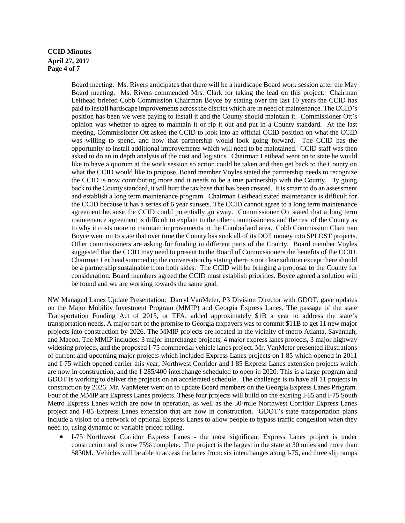# **CCID Minutes April 27, 2017 Page 4 of 7**

Board meeting. Ms. Rivers anticipates that there will be a hardscape Board work session after the May Board meeting. Ms. Rivers commended Mrs. Clark for taking the lead on this project. Chairman Leithead briefed Cobb Commission Chairman Boyce by stating over the last 10 years the CCID has paid to install hardscape improvements across the district which are in need of maintenance. The CCID's position has been we were paying to install it and the County should maintain it. Commissioner Ott's opinion was whether to agree to maintain it or rip it out and put in a County standard. At the last meeting, Commissioner Ott asked the CCID to look into an official CCID position on what the CCID was willing to spend, and how that partnership would look going forward. The CCID has the opportunity to install additional improvements which will need to be maintained. CCID staff was then asked to do an in depth analysis of the cost and logistics. Chairman Leithead went on to state he would like to have a quorum at the work session so action could be taken and then get back to the County on what the CCID would like to propose. Board member Voyles stated the partnership needs to recognize the CCID is now contributing more and it needs to be a true partnership with the County. By going back to the County standard, it will hurt the tax base that has been created. It is smart to do an assessment and establish a long term maintenance program. Chairman Leithead stated maintenance is difficult for the CCID because it has a series of 6 year sunsets. The CCID cannot agree to a long term maintenance agreement because the CCID could potentially go away. Commissioner Ott stated that a long term maintenance agreement is difficult to explain to the other commissioners and the rest of the County as to why it costs more to maintain improvements in the Cumberland area. Cobb Commission Chairman Boyce went on to state that over time the County has sunk all of its DOT money into SPLOST projects. Other commissioners are asking for funding in different parts of the County. Board member Voyles suggested that the CCID may need to present to the Board of Commissioners the benefits of the CCID. Chairman Leithead summed up the conversation by stating there is not clear solution except there should be a partnership sustainable from both sides. The CCID will be bringing a proposal to the County for consideration. Board members agreed the CCID must establish priorities. Boyce agreed a solution will be found and we are working towards the same goal.

NW Managed Lanes Update Presentation: Darryl VanMeter, P3 Division Director with GDOT, gave updates on the Major Mobility Investment Program (MMIP) and Georgia Express Lanes. The passage of the state Transportation Funding Act of 2015, or TFA, added approximately \$1B a year to address the state's transportation needs. A major part of the promise to Georgia taxpayers was to commit \$11B to get 11 new major projects into construction by 2026. The MMIP projects are located in the vicinity of metro Atlanta, Savannah, and Macon. The MMIP includes: 3 major interchange projects, 4 major express lanes projects, 3 major highway widening projects, and the proposed I-75 commercial vehicle lanes project. Mr. VanMeter presented illustrations of current and upcoming major projects which included Express Lanes projects on I-85 which opened in 2011 and I-75 which opened earlier this year, Northwest Corridor and I-85 Express Lanes extension projects which are now in construction, and the I-285/400 interchange scheduled to open in 2020. This is a large program and GDOT is working to deliver the projects on an accelerated schedule. The challenge is to have all 11 projects in construction by 2026. Mr. VanMeter went on to update Board members on the Georgia Express Lanes Program. Four of the MMIP are Express Lanes projects. These four projects will build on the existing I-85 and I-75 South Metro Express Lanes which are now in operation, as well as the 30-mile Northwest Corridor Express Lanes project and I-85 Express Lanes extension that are now in construction. GDOT's state transportation plans include a vision of a network of optional Express Lanes to allow people to bypass traffic congestion when they need to, using dynamic or variable priced tolling.

• I-75 Northwest Corridor Express Lanes - the most significant Express Lanes project is under construction and is now 75% complete. The project is the largest in the state at 30 miles and more than \$830M. Vehicles will be able to access the lanes from: six interchanges along I-75, and three slip ramps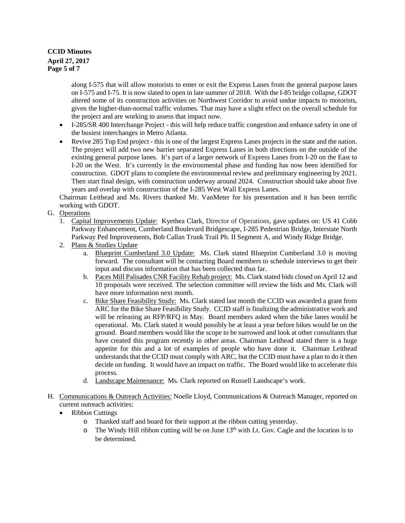# **CCID Minutes April 27, 2017 Page 5 of 7**

along I-575 that will allow motorists to enter or exit the Express Lanes from the general purpose lanes on I-575 and I-75. It is now slated to open in late summer of 2018. With the I-85 bridge collapse, GDOT altered some of its construction activities on Northwest Corridor to avoid undue impacts to motorists, given the higher-than-normal traffic volumes. That may have a slight effect on the overall schedule for the project and are working to assess that impact now.

- I-285/SR 400 Interchange Project this will help reduce traffic congestion and enhance safety in one of the busiest interchanges in Metro Atlanta.
- Revive 285 Top End project this is one of the largest Express Lanes projects in the state and the nation. The project will add two new barrier separated Express Lanes in both directions on the outside of the existing general purpose lanes. It's part of a larger network of Express Lanes from I-20 on the East to I-20 on the West. It's currently in the environmental phase and funding has now been identified for construction. GDOT plans to complete the environmental review and preliminary engineering by 2021. Then start final design, with construction underway around 2024. Construction should take about five years and overlap with construction of the I-285 West Wall Express Lanes.

Chairman Leithead and Ms. Rivers thanked Mr. VanMeter for his presentation and it has been terrific working with GDOT.

# G. Operations

- 1. Capital Improvements Update:Kyethea Clark, Director of Operations, gave updates on: US 41 Cobb Parkway Enhancement, Cumberland Boulevard Bridgescape, I-285 Pedestrian Bridge, Interstate North Parkway Ped Improvements, Bob Callan Trunk Trail Ph. II Segment A, and Windy Ridge Bridge.
- 2. Plans & Studies Update
	- a. Blueprint Cumberland 3.0 Update: Ms. Clark stated Blueprint Cumberland 3.0 is moving forward. The consultant will be contacting Board members to schedule interviews to get their input and discuss information that has been collected thus far.
	- b. Paces Mill Palisades CNR Facility Rehab project: Ms. Clark stated bids closed on April 12 and 10 proposals were received. The selection committee will review the bids and Ms. Clark will have more information next month.
	- c. Bike Share Feasibility Study: Ms. Clark stated last month the CCID was awarded a grant from ARC for the Bike Share Feasibility Study. CCID staff is finalizing the administrative work and will be releasing an RFP/RFQ in May. Board members asked when the bike lanes would be operational. Ms. Clark stated it would possibly be at least a year before bikes would be on the ground. Board members would like the scope to be narrowed and look at other consultants that have created this program recently in other areas. Chairman Leithead stated there is a huge appetite for this and a lot of examples of people who have done it. Chairman Leithead understands that the CCID must comply with ARC, but the CCID must have a plan to do it then decide on funding. It would have an impact on traffic. The Board would like to accelerate this process.
	- d. Landscape Maintenance: Ms. Clark reported on Russell Landscape's work.
- H. Communications & Outreach Activities: Noelle Lloyd, Communications & Outreach Manager, reported on current outreach activities:
	- Ribbon Cuttings
		- o Thanked staff and board for their support at the ribbon cutting yesterday.
		- $\circ$  The Windy Hill ribbon cutting will be on June 13<sup>th</sup> with Lt. Gov. Cagle and the location is to be determined.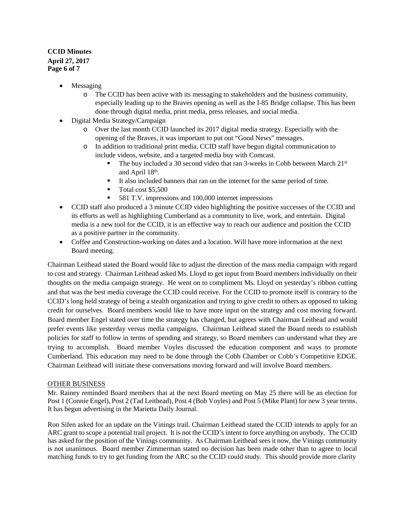# **CCID Minutes April 27, 2017 Page 6 of 7**

- **Messaging** 
	- o The CCID has been active with its messaging to stakeholders and the business community, especially leading up to the Braves opening as well as the I-85 Bridge collapse. This has been done through digital media, print media, press releases, and social media.
- Digital Media Strategy/Campaign
	- o Over the last month CCID launched its 2017 digital media strategy. Especially with the opening of the Braves, it was important to put out "Good News" messages.
	- o In addition to traditional print media, CCID staff have begun digital communication to include videos, website, and a targeted media buy with Comcast.
		- The buy included a 30 second video that ran 3-weeks in Cobb between March 21st and April 18th.
		- It also included banners that ran on the internet for the same period of time.
		- Total cost \$5,500
		- 581 T.V. impressions and 100,000 internet impressions
- CCID staff also produced a 3 minute CCID video highlighting the positive successes of the CCID and its efforts as well as highlighting Cumberland as a community to live, work, and entertain. Digital media is a new tool for the CCID, it is an effective way to reach our audience and position the CCID as a positive partner in the community.
- Coffee and Construction-working on dates and a location. Will have more information at the next Board meeting.

Chairman Leithead stated the Board would like to adjust the direction of the mass media campaign with regard to cost and strategy. Chairman Leithead asked Ms. Lloyd to get input from Board members individually on their thoughts on the media campaign strategy. He went on to compliment Ms. Lloyd on yesterday's ribbon cutting and that was the best media coverage the CCID could receive. For the CCID to promote itself is contrary to the CCID's long held strategy of being a stealth organization and trying to give credit to others as opposed to taking credit for ourselves. Board members would like to have more input on the strategy and cost moving forward. Board member Engel stated over time the strategy has changed, but agrees with Chairman Leithead and would prefer events like yesterday versus media campaigns. Chairman Leithead stated the Board needs to establish policies for staff to follow in terms of spending and strategy, so Board members can understand what they are trying to accomplish. Board member Voyles discussed the education component and ways to promote Cumberland. This education may need to be done through the Cobb Chamber or Cobb's Competitive EDGE. Chairman Leithead will initiate these conversations moving forward and will involve Board members.

#### OTHER BUSINESS

Mr. Rainey reminded Board members that at the next Board meeting on May 25 there will be an election for Post 1 (Connie Engel), Post 2 (Tad Leithead), Post 4 (Bob Voyles) and Post 5 (Mike Plant) for new 3 year terms. It has begun advertising in the Marietta Daily Journal.

Ron Sifen asked for an update on the Vinings trail. Chairman Leithead stated the CCID intends to apply for an ARC grant to scope a potential trail project. It is not the CCID's intent to force anything on anybody. The CCID has asked for the position of the Vinings community. As Chairman Leithead sees it now, the Vinings community is not unanimous. Board member Zimmerman stated no decision has been made other than to agree to local matching funds to try to get funding from the ARC so the CCID could study. This should provide more clarity